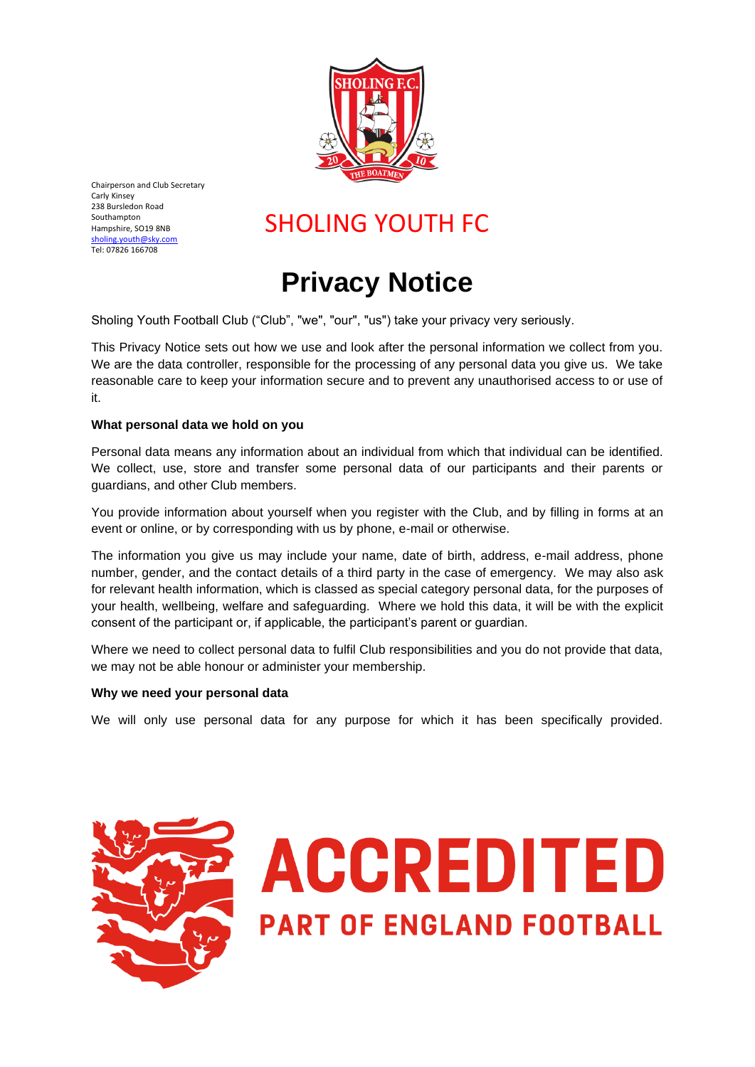

Chairperson and Club Secretary Carly Kinsey 238 Bursledon Road Southampton Hampshire, SO19 8NB [sholing.youth@sky.com](mailto:sholing.youth@sky.com) Tel: 07826 166708

### SHOLING YOUTH FC

## **Privacy Notice**

Sholing Youth Football Club ("Club", "we", "our", "us") take your privacy very seriously.

This Privacy Notice sets out how we use and look after the personal information we collect from you. We are the data controller, responsible for the processing of any personal data you give us. We take reasonable care to keep your information secure and to prevent any unauthorised access to or use of it.

### **What personal data we hold on you**

Personal data means any information about an individual from which that individual can be identified. We collect, use, store and transfer some personal data of our participants and their parents or guardians, and other Club members.

You provide information about yourself when you register with the Club, and by filling in forms at an event or online, or by corresponding with us by phone, e-mail or otherwise.

The information you give us may include your name, date of birth, address, e-mail address, phone number, gender, and the contact details of a third party in the case of emergency. We may also ask for relevant health information, which is classed as special category personal data, for the purposes of your health, wellbeing, welfare and safeguarding. Where we hold this data, it will be with the explicit consent of the participant or, if applicable, the participant's parent or guardian.

Where we need to collect personal data to fulfil Club responsibilities and you do not provide that data, we may not be able honour or administer your membership.

### **Why we need your personal data**

We will only use personal data for any purpose for which it has been specifically provided.



# **ACCREDITED PART OF ENGLAND FOOTBALL**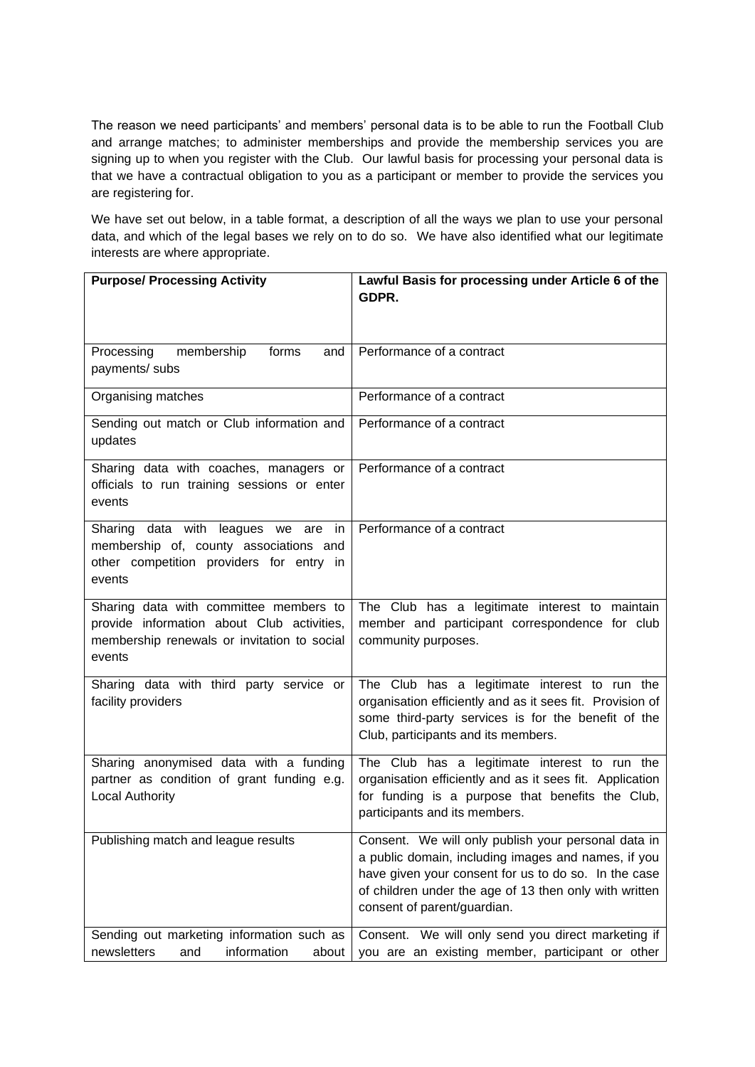The reason we need participants' and members' personal data is to be able to run the Football Club and arrange matches; to administer memberships and provide the membership services you are signing up to when you register with the Club. Our lawful basis for processing your personal data is that we have a contractual obligation to you as a participant or member to provide the services you are registering for.

We have set out below, in a table format, a description of all the ways we plan to use your personal data, and which of the legal bases we rely on to do so. We have also identified what our legitimate interests are where appropriate.

| <b>Purpose/ Processing Activity</b>                                                                                                           | Lawful Basis for processing under Article 6 of the<br>GDPR.                                                                                                                                                                                                 |
|-----------------------------------------------------------------------------------------------------------------------------------------------|-------------------------------------------------------------------------------------------------------------------------------------------------------------------------------------------------------------------------------------------------------------|
|                                                                                                                                               |                                                                                                                                                                                                                                                             |
| membership<br>forms<br>Processing<br>and<br>payments/ subs                                                                                    | Performance of a contract                                                                                                                                                                                                                                   |
| Organising matches                                                                                                                            | Performance of a contract                                                                                                                                                                                                                                   |
| Sending out match or Club information and<br>updates                                                                                          | Performance of a contract                                                                                                                                                                                                                                   |
| Sharing data with coaches, managers or<br>officials to run training sessions or enter<br>events                                               | Performance of a contract                                                                                                                                                                                                                                   |
| Sharing data with leagues we are<br>in<br>membership of, county associations and<br>other competition providers for entry in<br>events        | Performance of a contract                                                                                                                                                                                                                                   |
| Sharing data with committee members to<br>provide information about Club activities,<br>membership renewals or invitation to social<br>events | The Club has a legitimate interest to maintain<br>member and participant correspondence for club<br>community purposes.                                                                                                                                     |
| Sharing data with third party service or<br>facility providers                                                                                | The Club has a legitimate interest to run the<br>organisation efficiently and as it sees fit. Provision of<br>some third-party services is for the benefit of the<br>Club, participants and its members.                                                    |
| Sharing anonymised data with a funding<br>partner as condition of grant funding e.g.<br><b>Local Authority</b>                                | The Club has a legitimate interest to run the<br>organisation efficiently and as it sees fit. Application<br>for funding is a purpose that benefits the Club,<br>participants and its members.                                                              |
| Publishing match and league results                                                                                                           | Consent. We will only publish your personal data in<br>a public domain, including images and names, if you<br>have given your consent for us to do so. In the case<br>of children under the age of 13 then only with written<br>consent of parent/guardian. |
| Sending out marketing information such as<br>newsletters<br>information<br>and<br>about                                                       | Consent. We will only send you direct marketing if<br>you are an existing member, participant or other                                                                                                                                                      |